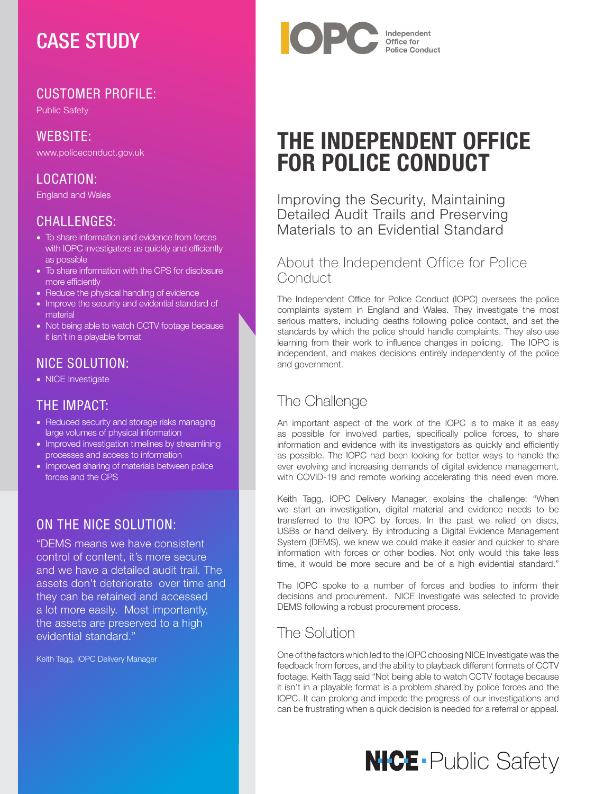## CASE STUDY

## CUSTOMER PROFILE:

Public Safety

WEBSITE: www.policeconduct.gov.uk

### LOCATION:

England and Wales

### CHALLENGES:

- To share information and evidence from forces with IOPC investigators as quickly and efficiently as possible
- To share information with the CPS for disclosure more efficiently
- Reduce the physical handling of evidence
- Improve the security and evidential standard of material
- Not being able to watch CCTV footage because it isn't in a playable format

#### NICE SOLUTION:

• NICE Investigate

### THE IMPACT:

- Reduced security and storage risks managing large volumes of physical information
- Improved investigation timelines by streamlining processes and access to information
- Improved sharing of materials between police forces and the CPS

## ON THE NICE SOLUTION:

"DEMS means we have consistent control of content, it's more secure and we have a detailed audit trail. The assets don't deteriorate over time and they can be retained and accessed a lot more easily. Most importantly, the assets are preserved to a high evidential standard."

Keith Tagg, IOPC Delivery Manager



# THE INDEPENDENT OFFICE FOR POLICE CONDUCT

Improving the Security, Maintaining Detailed Audit Trails and Preserving Materials to an Evidential Standard

#### About the Independent Office for Police Conduct

The Independent Office for Police Conduct (IOPC) oversees the police complaints system in England and Wales. They investigate the most serious matters, including deaths following police contact, and set the standards by which the police should handle complaints. They also use learning from their work to influence changes in policing. The IOPC is independent, and makes decisions entirely independently of the police and government.

## The Challenge

An important aspect of the work of the IOPC is to make it as easy as possible for involved parties, specifically police forces, to share information and evidence with its investigators as quickly and efficiently as possible. The IOPC had been looking for better ways to handle the ever evolving and increasing demands of digital evidence management, with COVID-19 and remote working accelerating this need even more.

Keith Tagg, IOPC Delivery Manager, explains the challenge: "When we start an investigation, digital material and evidence needs to be transferred to the IOPC by forces. In the past we relied on discs, USBs or hand delivery. By introducing a Digital Evidence Management System (DEMS), we knew we could make it easier and quicker to share information with forces or other bodies. Not only would this take less time, it would be more secure and be of a high evidential standard."

The IOPC spoke to a number of forces and bodies to inform their decisions and procurement. NICE Investigate was selected to provide DEMS following a robust procurement process.

## The Solution

One of the factors which led to the IOPC choosing NICE Investigate was the feedback from forces, and the ability to playback different formats of CCTV footage. Keith Tagg said "Not being able to watch CCTV footage because it isn't in a playable format is a problem shared by police forces and the IOPC. It can prolong and impede the progress of our investigations and can be frustrating when a quick decision is needed for a referral or appeal.

# **NICE** Public Safety